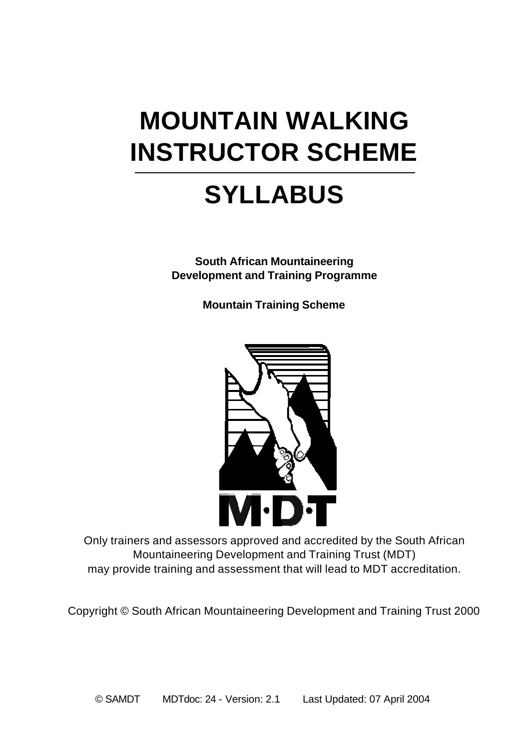# **MOUNTAIN WALKING INSTRUCTOR SCHEME**

## **SYLLABUS**

**South African Mountaineering Development and Training Programme**

**Mountain Training Scheme**



Only trainers and assessors approved and accredited by the South African Mountaineering Development and Training Trust (MDT) may provide training and assessment that will lead to MDT accreditation.

Copyright © South African Mountaineering Development and Training Trust 2000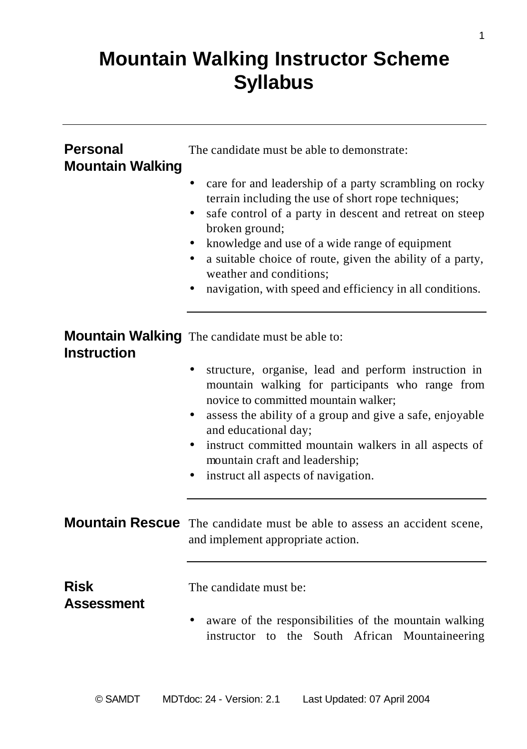### **Mountain Walking Instructor Scheme Syllabus**

| <b>Personal</b><br><b>Mountain Walking</b> | The candidate must be able to demonstrate:                                                                                                                                                                                                                                                                                                                                                                         |
|--------------------------------------------|--------------------------------------------------------------------------------------------------------------------------------------------------------------------------------------------------------------------------------------------------------------------------------------------------------------------------------------------------------------------------------------------------------------------|
|                                            | care for and leadership of a party scrambling on rocky<br>$\bullet$<br>terrain including the use of short rope techniques;<br>safe control of a party in descent and retreat on steep<br>broken ground;<br>knowledge and use of a wide range of equipment<br>a suitable choice of route, given the ability of a party,<br>٠<br>weather and conditions:<br>navigation, with speed and efficiency in all conditions. |
| <b>Instruction</b>                         | <b>Mountain Walking</b> The candidate must be able to:                                                                                                                                                                                                                                                                                                                                                             |
|                                            | structure, organise, lead and perform instruction in<br>mountain walking for participants who range from<br>novice to committed mountain walker;<br>assess the ability of a group and give a safe, enjoyable<br>and educational day;<br>instruct committed mountain walkers in all aspects of<br>mountain craft and leadership;<br>instruct all aspects of navigation.                                             |
|                                            | Mountain Rescue The candidate must be able to assess an accident scene,<br>and implement appropriate action.                                                                                                                                                                                                                                                                                                       |
| <b>Risk</b><br><b>Assessment</b>           | The candidate must be:<br>aware of the responsibilities of the mountain walking<br>instructor to the South African Mountaineering                                                                                                                                                                                                                                                                                  |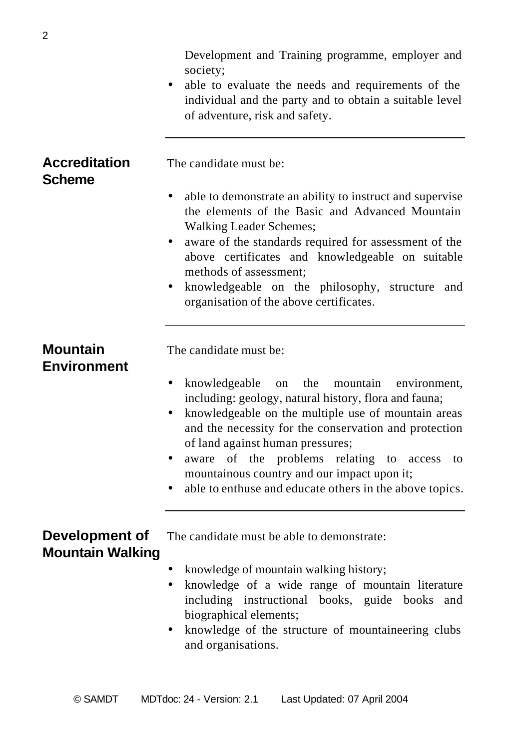Development and Training programme, employer and society; • able to evaluate the needs and requirements of the individual and the party and to obtain a suitable level of adventure, risk and safety. **Accreditation** The candidate must be: **Scheme** • able to demonstrate an ability to instruct and supervise the elements of the Basic and Advanced Mountain Walking Leader Schemes; • aware of the standards required for assessment of the above certificates and knowledgeable on suitable methods of assessment; • knowledgeable on the philosophy, structure and organisation of the above certificates. **Mountain** The candidate must be: **Environment** • knowledgeable on the mountain environment, including: geology, natural history, flora and fauna; • knowledgeable on the multiple use of mountain areas and the necessity for the conservation and protection of land against human pressures; • aware of the problems relating to access to mountainous country and our impact upon it; • able to enthuse and educate others in the above topics. **Development of** The candidate must be able to demonstrate: **Mountain Walking** • knowledge of mountain walking history; • knowledge of a wide range of mountain literature including instructional books, guide books and biographical elements; • knowledge of the structure of mountaineering clubs and organisations.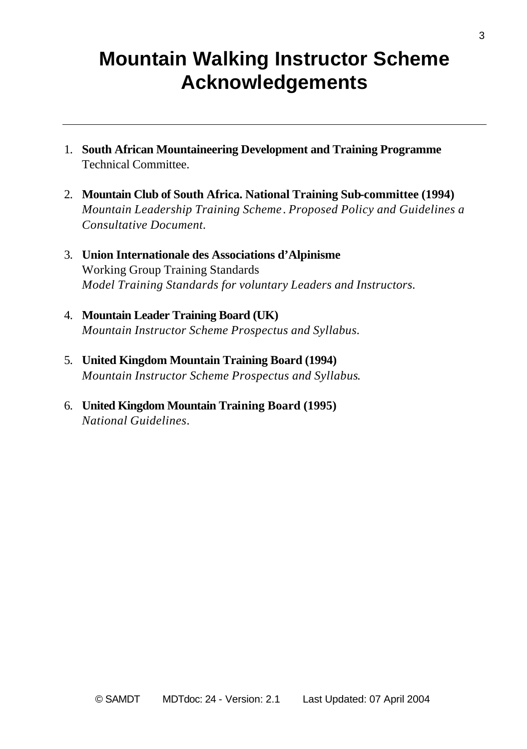### **Mountain Walking Instructor Scheme Acknowledgements**

- 1. **South African Mountaineering Development and Training Programme** Technical Committee.
- 2. **Mountain Club of South Africa. National Training Sub-committee (1994)** *Mountain Leadership Training Scheme*. *Proposed Policy and Guidelines a Consultative Document.*
- 3. **Union Internationale des Associations d'Alpinisme** Working Group Training Standards *Model Training Standards for voluntary Leaders and Instructors.*
- 4. **Mountain Leader Training Board (UK)** *Mountain Instructor Scheme Prospectus and Syllabus.*
- 5. **United Kingdom Mountain Training Board (1994)** *Mountain Instructor Scheme Prospectus and Syllabus*.
- 6. **United Kingdom Mountain Training Board (1995)** *National Guidelines*.